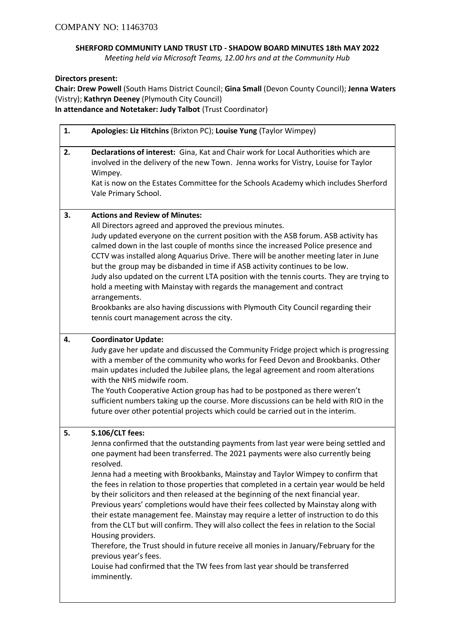## **SHERFORD COMMUNITY LAND TRUST LTD - SHADOW BOARD MINUTES 18th MAY 2022**

*Meeting held via Microsoft Teams, 12.00 hrs and at the Community Hub*

**Directors present:**

**Chair: Drew Powell** (South Hams District Council; **Gina Small** (Devon County Council); **Jenna Waters**  (Vistry); **Kathryn Deeney** (Plymouth City Council) **In attendance and Notetaker: Judy Talbot** (Trust Coordinator)

| 1. | Apologies: Liz Hitchins (Brixton PC); Louise Yung (Taylor Wimpey)                                                                                                                                                                                                                                                                                                                                                                                                                                                                                                                                                                                                                                                                                                                                                                                                                                                                                                                      |
|----|----------------------------------------------------------------------------------------------------------------------------------------------------------------------------------------------------------------------------------------------------------------------------------------------------------------------------------------------------------------------------------------------------------------------------------------------------------------------------------------------------------------------------------------------------------------------------------------------------------------------------------------------------------------------------------------------------------------------------------------------------------------------------------------------------------------------------------------------------------------------------------------------------------------------------------------------------------------------------------------|
| 2. | Declarations of interest: Gina, Kat and Chair work for Local Authorities which are<br>involved in the delivery of the new Town. Jenna works for Vistry, Louise for Taylor<br>Wimpey.<br>Kat is now on the Estates Committee for the Schools Academy which includes Sherford<br>Vale Primary School.                                                                                                                                                                                                                                                                                                                                                                                                                                                                                                                                                                                                                                                                                    |
| 3. | <b>Actions and Review of Minutes:</b><br>All Directors agreed and approved the previous minutes.<br>Judy updated everyone on the current position with the ASB forum. ASB activity has<br>calmed down in the last couple of months since the increased Police presence and<br>CCTV was installed along Aquarius Drive. There will be another meeting later in June<br>but the group may be disbanded in time if ASB activity continues to be low.<br>Judy also updated on the current LTA position with the tennis courts. They are trying to<br>hold a meeting with Mainstay with regards the management and contract<br>arrangements.<br>Brookbanks are also having discussions with Plymouth City Council regarding their<br>tennis court management across the city.                                                                                                                                                                                                               |
| 4. | <b>Coordinator Update:</b><br>Judy gave her update and discussed the Community Fridge project which is progressing<br>with a member of the community who works for Feed Devon and Brookbanks. Other<br>main updates included the Jubilee plans, the legal agreement and room alterations<br>with the NHS midwife room.<br>The Youth Cooperative Action group has had to be postponed as there weren't<br>sufficient numbers taking up the course. More discussions can be held with RIO in the<br>future over other potential projects which could be carried out in the interim.                                                                                                                                                                                                                                                                                                                                                                                                      |
| 5. | S.106/CLT fees:<br>Jenna confirmed that the outstanding payments from last year were being settled and<br>one payment had been transferred. The 2021 payments were also currently being<br>resolved.<br>Jenna had a meeting with Brookbanks, Mainstay and Taylor Wimpey to confirm that<br>the fees in relation to those properties that completed in a certain year would be held<br>by their solicitors and then released at the beginning of the next financial year.<br>Previous years' completions would have their fees collected by Mainstay along with<br>their estate management fee. Mainstay may require a letter of instruction to do this<br>from the CLT but will confirm. They will also collect the fees in relation to the Social<br>Housing providers.<br>Therefore, the Trust should in future receive all monies in January/February for the<br>previous year's fees.<br>Louise had confirmed that the TW fees from last year should be transferred<br>imminently. |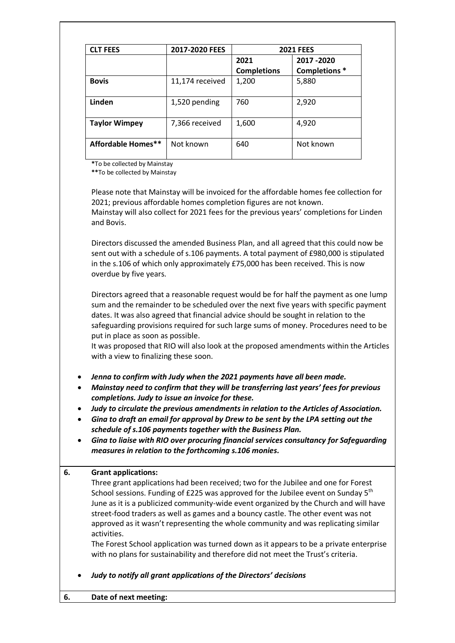| <b>CLT FEES</b>      | 2017-2020 FEES  | <b>2021 FEES</b>           |                             |
|----------------------|-----------------|----------------------------|-----------------------------|
|                      |                 | 2021<br><b>Completions</b> | 2017 - 2020<br>Completions* |
| <b>Bovis</b>         | 11,174 received | 1,200                      | 5,880                       |
| Linden               | 1,520 pending   | 760                        | 2,920                       |
| <b>Taylor Wimpey</b> | 7,366 received  | 1,600                      | 4,920                       |
| Affordable Homes**   | Not known       | 640                        | Not known                   |

**\***To be collected by Mainstay

**\*\***To be collected by Mainstay

Please note that Mainstay will be invoiced for the affordable homes fee collection for 2021; previous affordable homes completion figures are not known. Mainstay will also collect for 2021 fees for the previous years' completions for Linden and Bovis.

Directors discussed the amended Business Plan, and all agreed that this could now be sent out with a schedule of s.106 payments. A total payment of £980,000 is stipulated in the s.106 of which only approximately £75,000 has been received. This is now overdue by five years.

Directors agreed that a reasonable request would be for half the payment as one lump sum and the remainder to be scheduled over the next five years with specific payment dates. It was also agreed that financial advice should be sought in relation to the safeguarding provisions required for such large sums of money. Procedures need to be put in place as soon as possible.

It was proposed that RIO will also look at the proposed amendments within the Articles with a view to finalizing these soon.

- *Jenna to confirm with Judy when the 2021 payments have all been made.*
- *Mainstay need to confirm that they will be transferring last years' fees for previous completions. Judy to issue an invoice for these.*
- *Judy to circulate the previous amendments in relation to the Articles of Association.*
- *Gina to draft an email for approval by Drew to be sent by the LPA setting out the schedule of s.106 payments together with the Business Plan.*
- *Gina to liaise with RIO over procuring financial services consultancy for Safeguarding measures in relation to the forthcoming s.106 monies.*

## **6. Grant applications:**

Three grant applications had been received; two for the Jubilee and one for Forest School sessions. Funding of £225 was approved for the Jubilee event on Sunday 5<sup>th</sup> June as it is a publicized community-wide event organized by the Church and will have street-food traders as well as games and a bouncy castle. The other event was not approved as it wasn't representing the whole community and was replicating similar activities.

The Forest School application was turned down as it appears to be a private enterprise with no plans for sustainability and therefore did not meet the Trust's criteria.

• *Judy to notify all grant applications of the Directors' decisions*